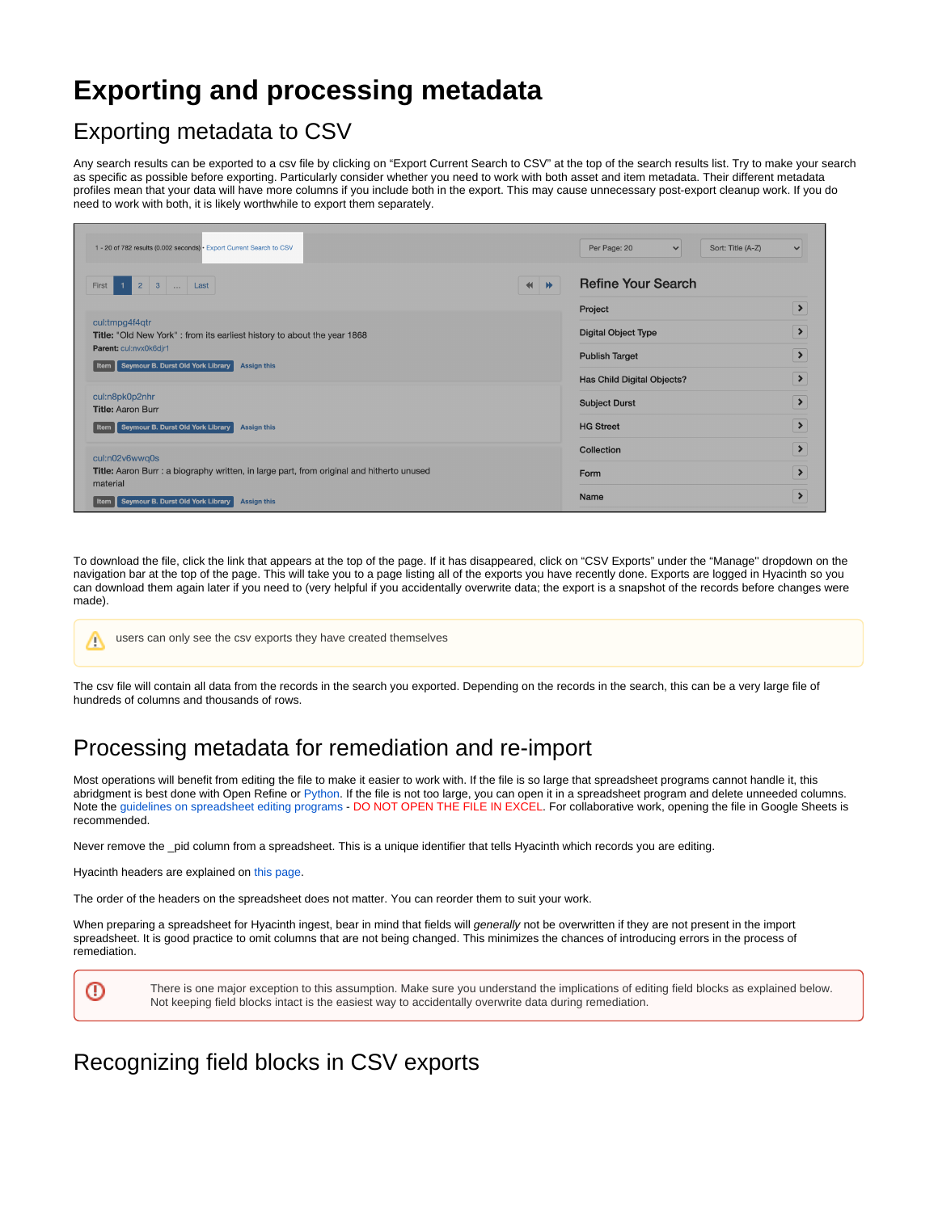# **Exporting and processing metadata**

## Exporting metadata to CSV

Any search results can be exported to a csv file by clicking on "Export Current Search to CSV" at the top of the search results list. Try to make your search as specific as possible before exporting. Particularly consider whether you need to work with both asset and item metadata. Their different metadata profiles mean that your data will have more columns if you include both in the export. This may cause unnecessary post-export cleanup work. If you do need to work with both, it is likely worthwhile to export them separately.

| 1 - 20 of 782 results (0.002 seconds) - Export Current Search to CSV                                                                                                                            | Per Page: 20<br>Sort: Title (A-Z)<br>$\vee$                                       | $\checkmark$                                    |
|-------------------------------------------------------------------------------------------------------------------------------------------------------------------------------------------------|-----------------------------------------------------------------------------------|-------------------------------------------------|
| 2 3  Last<br>1 <sup>1</sup><br>First                                                                                                                                                            | <b>Refine Your Search</b><br>$  $ $  $<br>Project                                 | $\rightarrow$                                   |
| cul:tmpg4f4qtr<br><b>Title:</b> "Old New York": from its earliest history to about the year 1868<br>Parent: cul:nvx0k6djr1<br>「Item   Seymour B. Durst Old York Library  <br><b>Assign this</b> | <b>Digital Object Type</b><br><b>Publish Target</b><br>Has Child Digital Objects? | $\rightarrow$<br>$\rightarrow$<br>$\rightarrow$ |
| cul:n8pk0p2nhr<br><b>Title: Aaron Burr</b><br>  Item    Seymour B. Durst Old York Library  <br><b>Assign this</b>                                                                               | <b>Subject Durst</b><br><b>HG Street</b>                                          | $\rightarrow$<br>$\rightarrow$                  |
| cul:n02v6wwq0s<br>Title: Aaron Burr : a biography written, in large part, from original and hitherto unused<br>material<br>Seymour B. Durst Old York Library<br><b>Assign this</b><br>Item I    | Collection<br>Form<br><b>Name</b>                                                 | $\rightarrow$<br>$\rightarrow$<br>$\rightarrow$ |

To download the file, click the link that appears at the top of the page. If it has disappeared, click on "CSV Exports" under the "Manage'' dropdown on the navigation bar at the top of the page. This will take you to a page listing all of the exports you have recently done. Exports are logged in Hyacinth so you can download them again later if you need to (very helpful if you accidentally overwrite data; the export is a snapshot of the records before changes were made).

users can only see the csv exports they have created themselves Λ

The csv file will contain all data from the records in the search you exported. Depending on the records in the search, this can be a very large file of hundreds of columns and thousands of rows.

#### Processing metadata for remediation and re-import

Most operations will benefit from editing the file to make it easier to work with. If the file is so large that spreadsheet programs cannot handle it, this abridgment is best done with Open Refine or [Python.](https://docs.python.org/3/library/csv.html) If the file is not too large, you can open it in a spreadsheet program and delete unneeded columns. Note the [guidelines on spreadsheet editing programs](https://wiki.library.columbia.edu/x/PyTjAg) - DO NOT OPEN THE FILE IN EXCEL. For collaborative work, opening the file in Google Sheets is recommended.

Never remove the \_pid column from a spreadsheet. This is a unique identifier that tells Hyacinth which records you are editing.

Hyacinth headers are explained on [this page](https://wiki.library.columbia.edu/x/M6teAg).

⋒

The order of the headers on the spreadsheet does not matter. You can reorder them to suit your work.

When preparing a spreadsheet for Hyacinth ingest, bear in mind that fields will generally not be overwritten if they are not present in the import spreadsheet. It is good practice to omit columns that are not being changed. This minimizes the chances of introducing errors in the process of remediation.

There is one major exception to this assumption. Make sure you understand the implications of editing field blocks as explained below. Not keeping field blocks intact is the easiest way to accidentally overwrite data during remediation.

#### Recognizing field blocks in CSV exports